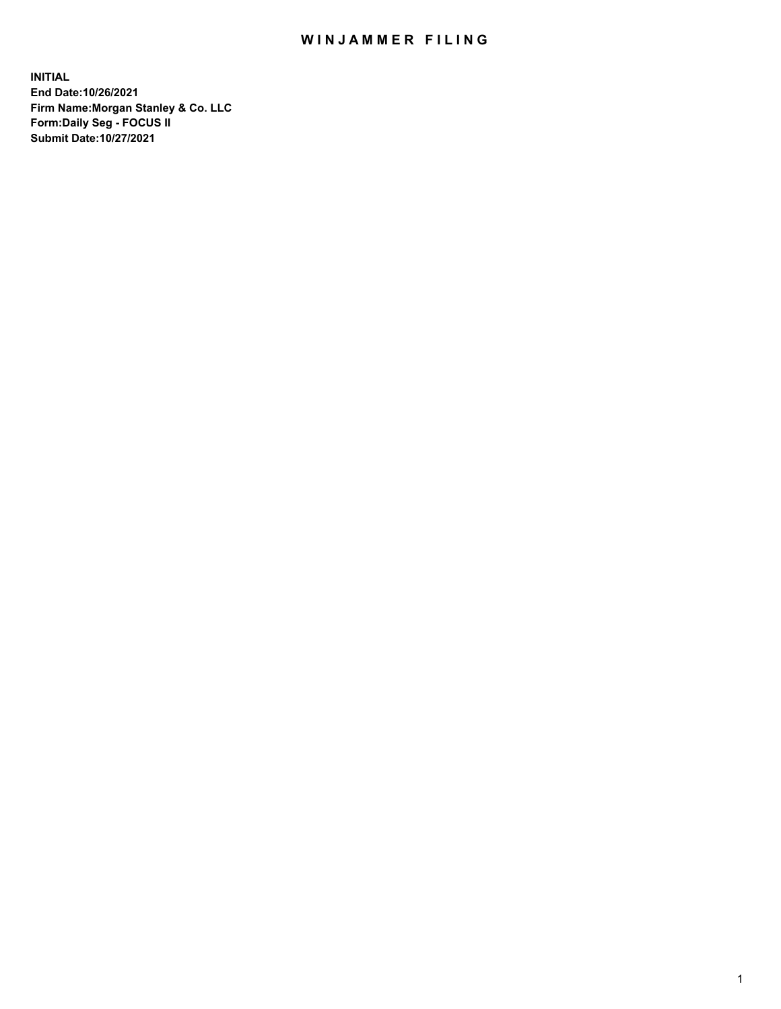## WIN JAMMER FILING

**INITIAL End Date:10/26/2021 Firm Name:Morgan Stanley & Co. LLC Form:Daily Seg - FOCUS II Submit Date:10/27/2021**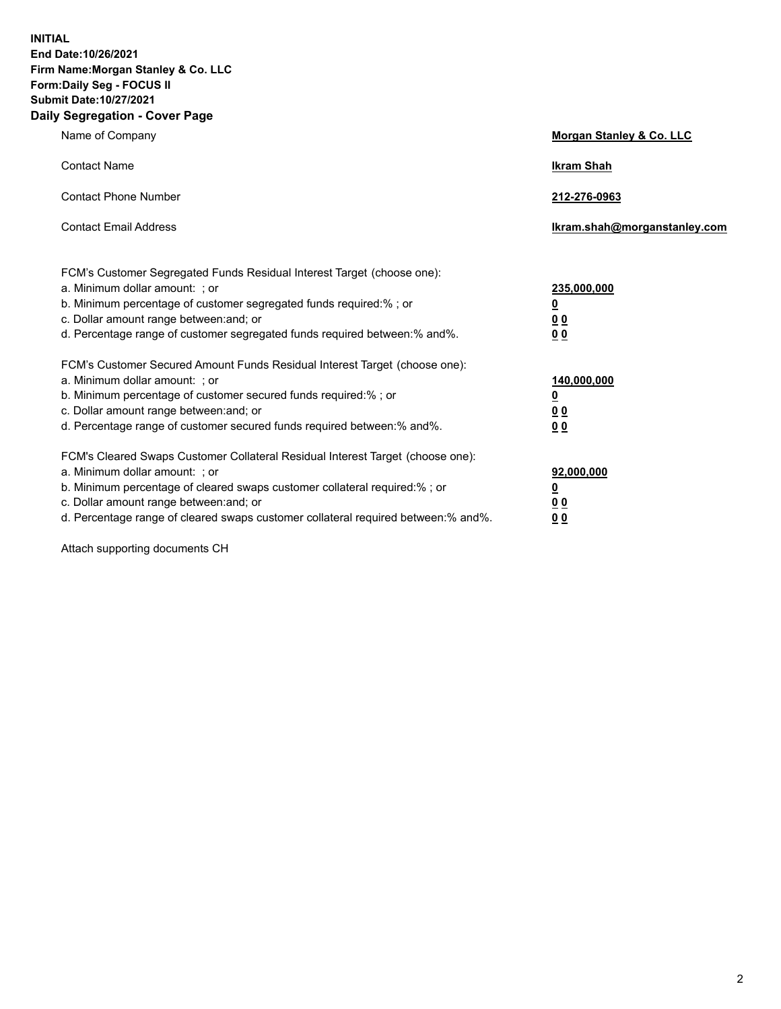**INITIAL End Date:10/26/2021 Firm Name:Morgan Stanley & Co. LLC Form:Daily Seg - FOCUS II Submit Date:10/27/2021 Daily Segregation - Cover Page**

| Name of Company                                                                                                                                                                                                                                                                                                               | Morgan Stanley & Co. LLC                               |
|-------------------------------------------------------------------------------------------------------------------------------------------------------------------------------------------------------------------------------------------------------------------------------------------------------------------------------|--------------------------------------------------------|
| <b>Contact Name</b>                                                                                                                                                                                                                                                                                                           | <b>Ikram Shah</b>                                      |
| <b>Contact Phone Number</b>                                                                                                                                                                                                                                                                                                   | 212-276-0963                                           |
| <b>Contact Email Address</b>                                                                                                                                                                                                                                                                                                  | Ikram.shah@morganstanley.com                           |
| FCM's Customer Segregated Funds Residual Interest Target (choose one):<br>a. Minimum dollar amount: ; or<br>b. Minimum percentage of customer segregated funds required:% ; or<br>c. Dollar amount range between: and; or<br>d. Percentage range of customer segregated funds required between:% and%.                        | 235,000,000<br><u>0</u><br><u>00</u><br>0 <sup>0</sup> |
| FCM's Customer Secured Amount Funds Residual Interest Target (choose one):<br>a. Minimum dollar amount: ; or<br>b. Minimum percentage of customer secured funds required:%; or<br>c. Dollar amount range between: and; or<br>d. Percentage range of customer secured funds required between:% and%.                           | 140,000,000<br><u>0</u><br><u>00</u><br>0 <sub>0</sub> |
| FCM's Cleared Swaps Customer Collateral Residual Interest Target (choose one):<br>a. Minimum dollar amount: ; or<br>b. Minimum percentage of cleared swaps customer collateral required:%; or<br>c. Dollar amount range between: and; or<br>d. Percentage range of cleared swaps customer collateral required between:% and%. | 92,000,000<br><u>0</u><br>0 Q<br>00                    |

Attach supporting documents CH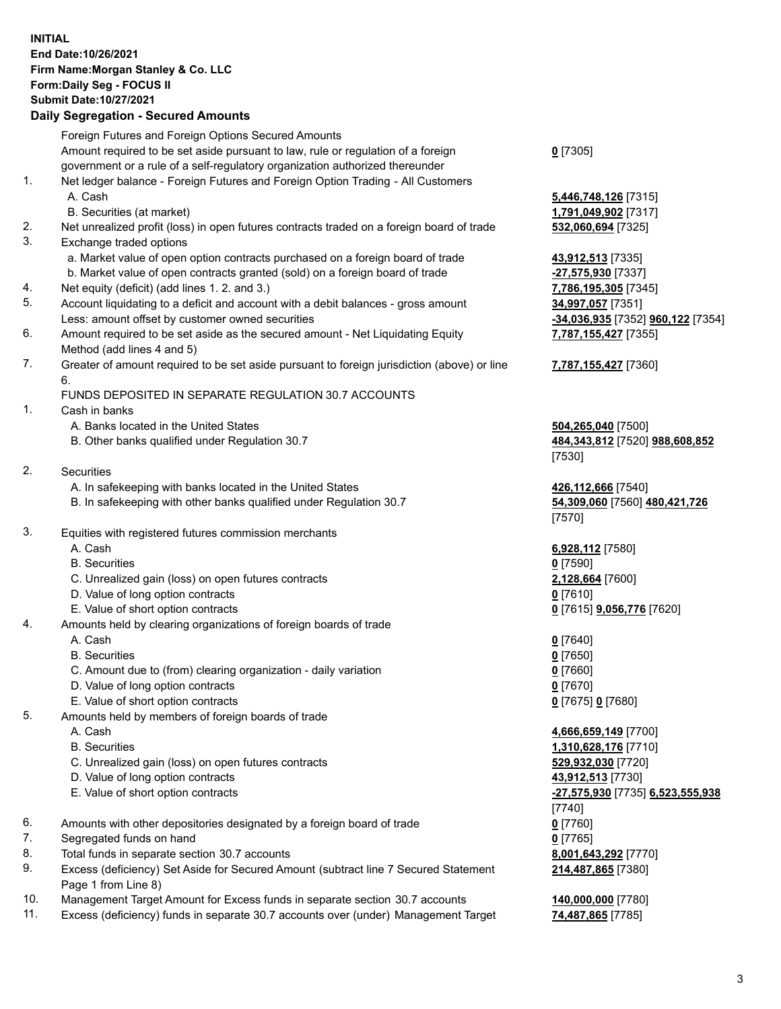## **INITIAL End Date:10/26/2021 Firm Name:Morgan Stanley & Co. LLC Form:Daily Seg - FOCUS II Submit Date:10/27/2021**

## **Daily Segregation - Secured Amounts**

Foreign Futures and Foreign Options Secured Amounts Amount required to be set aside pursuant to law, rule or regulation of a foreign government or a rule of a self-regulatory organization authorized thereunder **0** [7305] 1. Net ledger balance - Foreign Futures and Foreign Option Trading - All Customers A. Cash **5,446,748,126** [7315] B. Securities (at market) **1,791,049,902** [7317] 2. Net unrealized profit (loss) in open futures contracts traded on a foreign board of trade **532,060,694** [7325] 3. Exchange traded options a. Market value of open option contracts purchased on a foreign board of trade **43,912,513** [7335] b. Market value of open contracts granted (sold) on a foreign board of trade **-27,575,930** [7337] 4. Net equity (deficit) (add lines 1. 2. and 3.) **7,786,195,305** [7345] 5. Account liquidating to a deficit and account with a debit balances - gross amount **34,997,057** [7351] Less: amount offset by customer owned securities **-34,036,935** [7352] **960,122** [7354] 6. Amount required to be set aside as the secured amount - Net Liquidating Equity Method (add lines 4 and 5) 7. Greater of amount required to be set aside pursuant to foreign jurisdiction (above) or line 6. FUNDS DEPOSITED IN SEPARATE REGULATION 30.7 ACCOUNTS 1. Cash in banks A. Banks located in the United States **504,265,040** [7500] B. Other banks qualified under Regulation 30.7 **484,343,812** [7520] **988,608,852** [7530] 2. Securities A. In safekeeping with banks located in the United States **426,112,666** [7540] B. In safekeeping with other banks qualified under Regulation 30.7 **54,309,060** [7560] **480,421,726** [7570] 3. Equities with registered futures commission merchants A. Cash **6,928,112** [7580] B. Securities **0** [7590] C. Unrealized gain (loss) on open futures contracts **2,128,664** [7600] D. Value of long option contracts **0** [7610] E. Value of short option contracts **0** [7615] **9,056,776** [7620] 4. Amounts held by clearing organizations of foreign boards of trade A. Cash **0** [7640] B. Securities **0** [7650] C. Amount due to (from) clearing organization - daily variation **0** [7660] D. Value of long option contracts **0** [7670] E. Value of short option contracts **0** [7675] **0** [7680] 5. Amounts held by members of foreign boards of trade A. Cash **4,666,659,149** [7700] B. Securities **1,310,628,176** [7710] C. Unrealized gain (loss) on open futures contracts **529,932,030** [7720] D. Value of long option contracts **43,912,513** [7730] E. Value of short option contracts **-27,575,930** [7735] **6,523,555,938** [7740] 6. Amounts with other depositories designated by a foreign board of trade **0** [7760] 7. Segregated funds on hand **0** [7765] 8. Total funds in separate section 30.7 accounts **8,001,643,292** [7770] 9. Excess (deficiency) Set Aside for Secured Amount (subtract line 7 Secured Statement Page 1 from Line 8)

- 10. Management Target Amount for Excess funds in separate section 30.7 accounts **140,000,000** [7780]
- 11. Excess (deficiency) funds in separate 30.7 accounts over (under) Management Target **74,487,865** [7785]

**7,787,155,427** [7355]

## **7,787,155,427** [7360]

**214,487,865** [7380]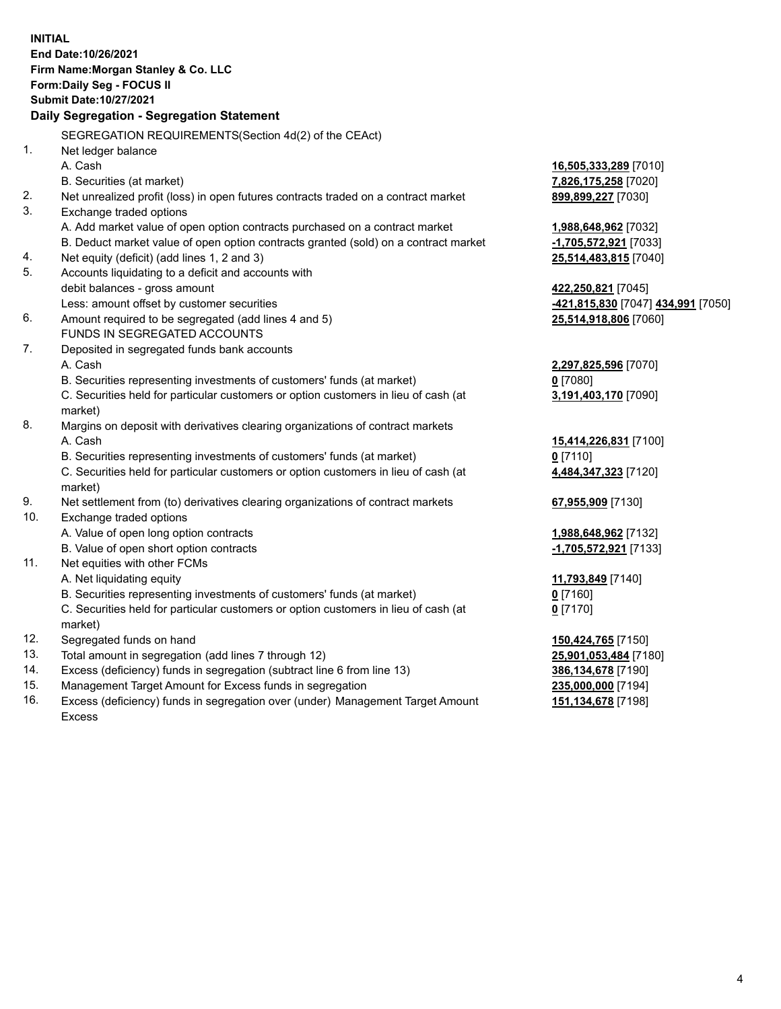**INITIAL End Date:10/26/2021 Firm Name:Morgan Stanley & Co. LLC Form:Daily Seg - FOCUS II Submit Date:10/27/2021 Daily Segregation - Segregation Statement** SEGREGATION REQUIREMENTS(Section 4d(2) of the CEAct) 1. Net ledger balance A. Cash **16,505,333,289** [7010] B. Securities (at market) **7,826,175,258** [7020] 2. Net unrealized profit (loss) in open futures contracts traded on a contract market **899,899,227** [7030] 3. Exchange traded options A. Add market value of open option contracts purchased on a contract market **1,988,648,962** [7032] B. Deduct market value of open option contracts granted (sold) on a contract market **-1,705,572,921** [7033] 4. Net equity (deficit) (add lines 1, 2 and 3) **25,514,483,815** [7040] 5. Accounts liquidating to a deficit and accounts with debit balances - gross amount **422,250,821** [7045] Less: amount offset by customer securities **-421,815,830** [7047] **434,991** [7050] 6. Amount required to be segregated (add lines 4 and 5) **25,514,918,806** [7060] FUNDS IN SEGREGATED ACCOUNTS 7. Deposited in segregated funds bank accounts A. Cash **2,297,825,596** [7070] B. Securities representing investments of customers' funds (at market) **0** [7080] C. Securities held for particular customers or option customers in lieu of cash (at market) **3,191,403,170** [7090] 8. Margins on deposit with derivatives clearing organizations of contract markets A. Cash **15,414,226,831** [7100] B. Securities representing investments of customers' funds (at market) **0** [7110] C. Securities held for particular customers or option customers in lieu of cash (at market) **4,484,347,323** [7120] 9. Net settlement from (to) derivatives clearing organizations of contract markets **67,955,909** [7130] 10. Exchange traded options A. Value of open long option contracts **1,988,648,962** [7132] B. Value of open short option contracts **-1,705,572,921** [7133] 11. Net equities with other FCMs A. Net liquidating equity **11,793,849** [7140] B. Securities representing investments of customers' funds (at market) **0** [7160] C. Securities held for particular customers or option customers in lieu of cash (at market) **0** [7170] 12. Segregated funds on hand **150,424,765** [7150] 13. Total amount in segregation (add lines 7 through 12) **25,901,053,484** [7180] 14. Excess (deficiency) funds in segregation (subtract line 6 from line 13) **386,134,678** [7190] 15. Management Target Amount for Excess funds in segregation **235,000,000** [7194] 16. Excess (deficiency) funds in segregation over (under) Management Target Amount **151,134,678** [7198]

Excess